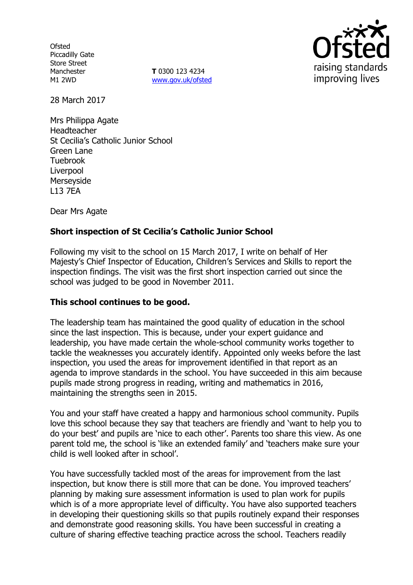**Ofsted** Piccadilly Gate Store Street Manchester M1 2WD

**T** 0300 123 4234 www.gov.uk/ofsted



28 March 2017

Mrs Philippa Agate Headteacher St Cecilia's Catholic Junior School Green Lane Tuebrook Liverpool Merseyside L13 7EA

Dear Mrs Agate

# **Short inspection of St Cecilia's Catholic Junior School**

Following my visit to the school on 15 March 2017, I write on behalf of Her Majesty's Chief Inspector of Education, Children's Services and Skills to report the inspection findings. The visit was the first short inspection carried out since the school was judged to be good in November 2011.

### **This school continues to be good.**

The leadership team has maintained the good quality of education in the school since the last inspection. This is because, under your expert guidance and leadership, you have made certain the whole-school community works together to tackle the weaknesses you accurately identify. Appointed only weeks before the last inspection, you used the areas for improvement identified in that report as an agenda to improve standards in the school. You have succeeded in this aim because pupils made strong progress in reading, writing and mathematics in 2016, maintaining the strengths seen in 2015.

You and your staff have created a happy and harmonious school community. Pupils love this school because they say that teachers are friendly and 'want to help you to do your best' and pupils are 'nice to each other'. Parents too share this view. As one parent told me, the school is 'like an extended family' and 'teachers make sure your child is well looked after in school'.

You have successfully tackled most of the areas for improvement from the last inspection, but know there is still more that can be done. You improved teachers' planning by making sure assessment information is used to plan work for pupils which is of a more appropriate level of difficulty. You have also supported teachers in developing their questioning skills so that pupils routinely expand their responses and demonstrate good reasoning skills. You have been successful in creating a culture of sharing effective teaching practice across the school. Teachers readily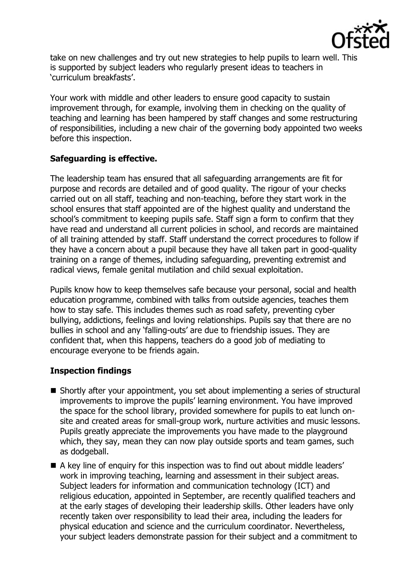

take on new challenges and try out new strategies to help pupils to learn well. This is supported by subject leaders who regularly present ideas to teachers in 'curriculum breakfasts'.

Your work with middle and other leaders to ensure good capacity to sustain improvement through, for example, involving them in checking on the quality of teaching and learning has been hampered by staff changes and some restructuring of responsibilities, including a new chair of the governing body appointed two weeks before this inspection.

# **Safeguarding is effective.**

The leadership team has ensured that all safeguarding arrangements are fit for purpose and records are detailed and of good quality. The rigour of your checks carried out on all staff, teaching and non-teaching, before they start work in the school ensures that staff appointed are of the highest quality and understand the school's commitment to keeping pupils safe. Staff sign a form to confirm that they have read and understand all current policies in school, and records are maintained of all training attended by staff. Staff understand the correct procedures to follow if they have a concern about a pupil because they have all taken part in good-quality training on a range of themes, including safeguarding, preventing extremist and radical views, female genital mutilation and child sexual exploitation.

Pupils know how to keep themselves safe because your personal, social and health education programme, combined with talks from outside agencies, teaches them how to stay safe. This includes themes such as road safety, preventing cyber bullying, addictions, feelings and loving relationships. Pupils say that there are no bullies in school and any 'falling-outs' are due to friendship issues. They are confident that, when this happens, teachers do a good job of mediating to encourage everyone to be friends again.

# **Inspection findings**

- Shortly after your appointment, you set about implementing a series of structural improvements to improve the pupils' learning environment. You have improved the space for the school library, provided somewhere for pupils to eat lunch onsite and created areas for small-group work, nurture activities and music lessons. Pupils greatly appreciate the improvements you have made to the playground which, they say, mean they can now play outside sports and team games, such as dodgeball.
- A key line of enquiry for this inspection was to find out about middle leaders' work in improving teaching, learning and assessment in their subject areas. Subject leaders for information and communication technology (ICT) and religious education, appointed in September, are recently qualified teachers and at the early stages of developing their leadership skills. Other leaders have only recently taken over responsibility to lead their area, including the leaders for physical education and science and the curriculum coordinator. Nevertheless, your subject leaders demonstrate passion for their subject and a commitment to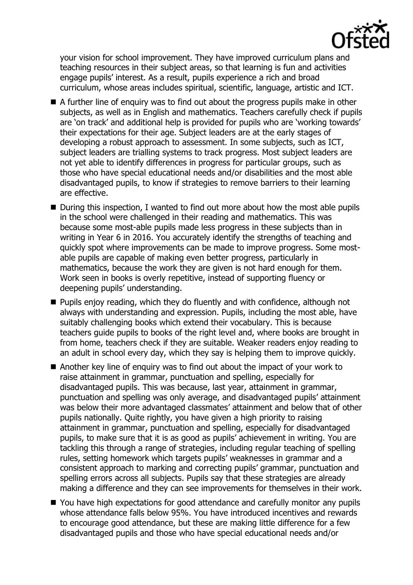

your vision for school improvement. They have improved curriculum plans and teaching resources in their subject areas, so that learning is fun and activities engage pupils' interest. As a result, pupils experience a rich and broad curriculum, whose areas includes spiritual, scientific, language, artistic and ICT.

- A further line of enquiry was to find out about the progress pupils make in other subjects, as well as in English and mathematics. Teachers carefully check if pupils are 'on track' and additional help is provided for pupils who are 'working towards' their expectations for their age. Subject leaders are at the early stages of developing a robust approach to assessment. In some subjects, such as ICT, subject leaders are trialling systems to track progress. Most subject leaders are not yet able to identify differences in progress for particular groups, such as those who have special educational needs and/or disabilities and the most able disadvantaged pupils, to know if strategies to remove barriers to their learning are effective.
- During this inspection, I wanted to find out more about how the most able pupils in the school were challenged in their reading and mathematics. This was because some most-able pupils made less progress in these subjects than in writing in Year 6 in 2016. You accurately identify the strengths of teaching and quickly spot where improvements can be made to improve progress. Some mostable pupils are capable of making even better progress, particularly in mathematics, because the work they are given is not hard enough for them. Work seen in books is overly repetitive, instead of supporting fluency or deepening pupils' understanding.
- **Pupils enjoy reading, which they do fluently and with confidence, although not** always with understanding and expression. Pupils, including the most able, have suitably challenging books which extend their vocabulary. This is because teachers guide pupils to books of the right level and, where books are brought in from home, teachers check if they are suitable. Weaker readers enjoy reading to an adult in school every day, which they say is helping them to improve quickly.
- Another key line of enguiry was to find out about the impact of your work to raise attainment in grammar, punctuation and spelling, especially for disadvantaged pupils. This was because, last year, attainment in grammar, punctuation and spelling was only average, and disadvantaged pupils' attainment was below their more advantaged classmates' attainment and below that of other pupils nationally. Quite rightly, you have given a high priority to raising attainment in grammar, punctuation and spelling, especially for disadvantaged pupils, to make sure that it is as good as pupils' achievement in writing. You are tackling this through a range of strategies, including regular teaching of spelling rules, setting homework which targets pupils' weaknesses in grammar and a consistent approach to marking and correcting pupils' grammar, punctuation and spelling errors across all subjects. Pupils say that these strategies are already making a difference and they can see improvements for themselves in their work.
- You have high expectations for good attendance and carefully monitor any pupils whose attendance falls below 95%. You have introduced incentives and rewards to encourage good attendance, but these are making little difference for a few disadvantaged pupils and those who have special educational needs and/or